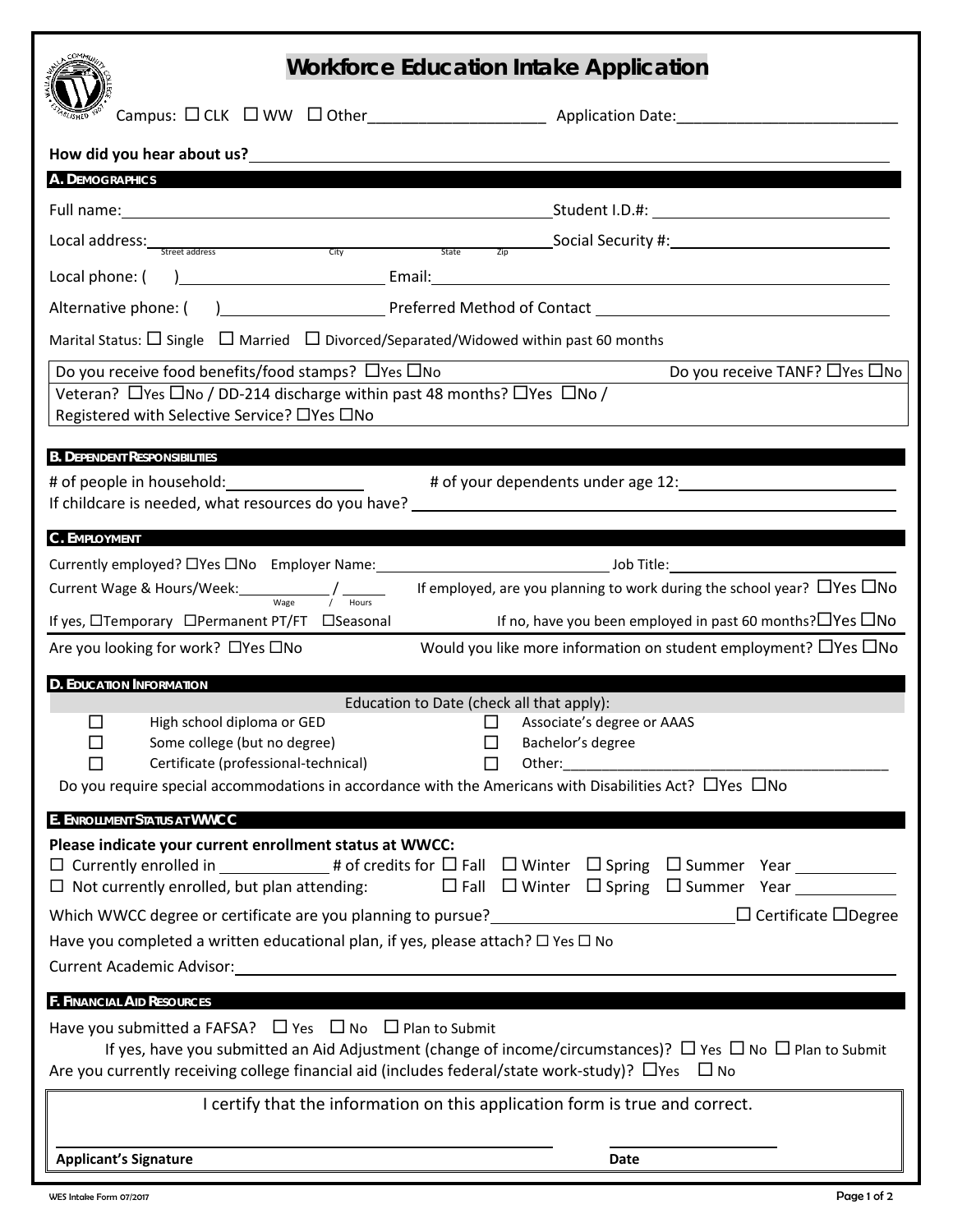| <b>Workforce Education Intake Application</b>                                                                                                                                                                                                                                                                                                             |  |
|-----------------------------------------------------------------------------------------------------------------------------------------------------------------------------------------------------------------------------------------------------------------------------------------------------------------------------------------------------------|--|
|                                                                                                                                                                                                                                                                                                                                                           |  |
| How did you hear about us? Notified the state of the state of the state of the state of the state of the state of the state of the state of the state of the state of the state of the state of the state of the state of the                                                                                                                             |  |
| A. DEMOGRAPHICS                                                                                                                                                                                                                                                                                                                                           |  |
|                                                                                                                                                                                                                                                                                                                                                           |  |
| Local address: $\frac{1}{\text{Street address}}$ and $\frac{1}{\text{City}}$ and $\frac{1}{\text{City}}$ and $\frac{1}{\text{City}}$ and $\frac{1}{\text{City}}$ and $\frac{1}{\text{City}}$ and $\frac{1}{\text{City}}$ and $\frac{1}{\text{City}}$ and $\frac{1}{\text{City}}$ and $\frac{1}{\text{City}}$ and $\frac{1}{\text{City}}$ and $\frac{1}{\$ |  |
|                                                                                                                                                                                                                                                                                                                                                           |  |
|                                                                                                                                                                                                                                                                                                                                                           |  |
| Marital Status: $\Box$ Single $\Box$ Married $\Box$ Divorced/Separated/Widowed within past 60 months                                                                                                                                                                                                                                                      |  |
| Do you receive food benefits/food stamps? $\Box$ Yes $\Box$ No<br>Do you receive TANF? $\Box$ Yes $\Box$ No                                                                                                                                                                                                                                               |  |
| Veteran? □ Yes □ No / DD-214 discharge within past 48 months? □ Yes □ No /<br>Registered with Selective Service? □ Yes □ No                                                                                                                                                                                                                               |  |
| <b>B. DEPENDENT RESPONSIBILITIES</b>                                                                                                                                                                                                                                                                                                                      |  |
|                                                                                                                                                                                                                                                                                                                                                           |  |
|                                                                                                                                                                                                                                                                                                                                                           |  |
| C. EMPLOYMENT                                                                                                                                                                                                                                                                                                                                             |  |
| Currently employed? □ Yes □ No Employer Name:<br><u>version of the set of the set of the set of the set of the set of the set of the set of the set of the set of the set of the set of the set of the set of the set of the set of the set of the set of the set of the set of t</u>                                                                     |  |
| If employed, are you planning to work during the school year? $\Box$ Yes $\Box$ No                                                                                                                                                                                                                                                                        |  |
| If no, have you been employed in past 60 months? $\Box$ Yes $\Box$ No<br>If yes, □Temporary □Permanent PT/FT □Seasonal                                                                                                                                                                                                                                    |  |
| Would you like more information on student employment? $\Box$ Yes $\Box$ No<br>Are you looking for work? □ Yes □ No                                                                                                                                                                                                                                       |  |
| <b>D. EDUCATION INFORMATION</b>                                                                                                                                                                                                                                                                                                                           |  |
| Education to Date (check all that apply):<br>П<br>High school diploma or GED<br>П<br>Associate's degree or AAAS                                                                                                                                                                                                                                           |  |
| Some college (but no degree)<br>□<br>Bachelor's degree<br>ப                                                                                                                                                                                                                                                                                               |  |
| Certificate (professional-technical)<br>Other: and the contract of the contract of the contract of the contract of the contract of the contract of the                                                                                                                                                                                                    |  |
| Do you require special accommodations in accordance with the Americans with Disabilities Act? $\Box$ Yes $\Box$ No                                                                                                                                                                                                                                        |  |
| E. ENROLLMENT STATUS AT WWCC                                                                                                                                                                                                                                                                                                                              |  |
| Please indicate your current enrollment status at WWCC:                                                                                                                                                                                                                                                                                                   |  |
| $\Box$ Currently enrolled in ______________# of credits for $\Box$ Fall $\Box$ Winter $\Box$ Spring $\Box$ Summer Year ______________<br>$\square$ Fall $\square$ Winter $\square$ Spring $\square$ Summer Year $\_\_$<br>$\Box$ Not currently enrolled, but plan attending:                                                                              |  |
| Which WWCC degree or certificate are you planning to pursue?<br>$\Box$ Certificate $\Box$ Degree                                                                                                                                                                                                                                                          |  |
| Have you completed a written educational plan, if yes, please attach? $\Box$ Yes $\Box$ No                                                                                                                                                                                                                                                                |  |
|                                                                                                                                                                                                                                                                                                                                                           |  |
| <b>F. FINANCIAL AID RESOURCES</b>                                                                                                                                                                                                                                                                                                                         |  |
| Have you submitted a FAFSA? $\Box$ Yes $\Box$ No $\Box$ Plan to Submit<br>If yes, have you submitted an Aid Adjustment (change of income/circumstances)? $\Box$ Yes $\Box$ No $\Box$ Plan to Submit<br>Are you currently receiving college financial aid (includes federal/state work-study)? $\Box$ Yes $\Box$ No                                        |  |
| I certify that the information on this application form is true and correct.                                                                                                                                                                                                                                                                              |  |
|                                                                                                                                                                                                                                                                                                                                                           |  |
| <b>Applicant's Signature</b><br>Date                                                                                                                                                                                                                                                                                                                      |  |